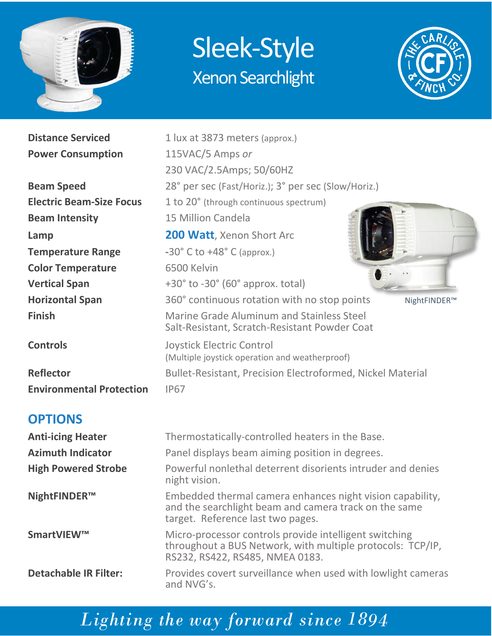

## Sleek-Style Xenon Searchlight



**Distance Serviced** 1 lux at 3873 meters (approx.)

| <b>Power Consumption</b>        | 115VAC/5 Amps or                                                                           |  |  |  |  |  |
|---------------------------------|--------------------------------------------------------------------------------------------|--|--|--|--|--|
|                                 | 230 VAC/2.5Amps; 50/60HZ                                                                   |  |  |  |  |  |
| <b>Beam Speed</b>               | 28° per sec (Fast/Horiz.); 3° per sec (Slow/Horiz.)                                        |  |  |  |  |  |
| <b>Electric Beam-Size Focus</b> | 1 to 20° (through continuous spectrum)                                                     |  |  |  |  |  |
| <b>Beam Intensity</b>           | 15 Million Candela                                                                         |  |  |  |  |  |
| Lamp                            | <b>200 Watt</b> , Xenon Short Arc                                                          |  |  |  |  |  |
| <b>Temperature Range</b>        | $-30^{\circ}$ C to $+48^{\circ}$ C (approx.)                                               |  |  |  |  |  |
| <b>Color Temperature</b>        | 6500 Kelvin                                                                                |  |  |  |  |  |
| <b>Vertical Span</b>            | $+30^{\circ}$ to $-30^{\circ}$ (60 $^{\circ}$ approx. total)                               |  |  |  |  |  |
| <b>Horizontal Span</b>          | 360° continuous rotation with no stop points<br>NightFINDER™                               |  |  |  |  |  |
| <b>Finish</b>                   | Marine Grade Aluminum and Stainless Steel<br>Salt-Resistant, Scratch-Resistant Powder Coat |  |  |  |  |  |
| <b>Controls</b>                 | Joystick Electric Control<br>(Multiple joystick operation and weatherproof)                |  |  |  |  |  |
| <b>Reflector</b>                | <b>Bullet-Resistant, Precision Electroformed, Nickel Material</b>                          |  |  |  |  |  |
| <b>Environmental Protection</b> | <b>IP67</b>                                                                                |  |  |  |  |  |

#### **OPTIONS**

| <b>Anti-icing Heater</b>     | Thermostatically-controlled heaters in the Base.                                                                                                        |  |  |
|------------------------------|---------------------------------------------------------------------------------------------------------------------------------------------------------|--|--|
| <b>Azimuth Indicator</b>     | Panel displays beam aiming position in degrees.                                                                                                         |  |  |
| <b>High Powered Strobe</b>   | Powerful nonlethal deterrent disorients intruder and denies<br>night vision.                                                                            |  |  |
| NightFINDER <sup>™</sup>     | Embedded thermal camera enhances night vision capability,<br>and the searchlight beam and camera track on the same<br>target. Reference last two pages. |  |  |
| SmartVIEW™                   | Micro-processor controls provide intelligent switching<br>throughout a BUS Network, with multiple protocols: TCP/IP,<br>RS232, RS422, RS485, NMEA 0183. |  |  |
| <b>Detachable IR Filter:</b> | Provides covert surveillance when used with lowlight cameras<br>and NVG's.                                                                              |  |  |

## *Lighting the way forward since 1894*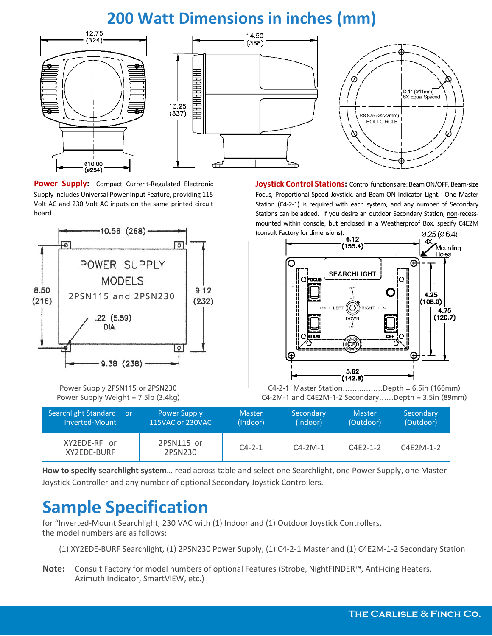#### **200 Watt Dimensions in inches (mm)**



Power Supply: Compact Current-Regulated Electronic Supply includes Universal Power Input Feature, providing 115 Volt AC and 230 Volt AC inputs on the same printed circuit board.



**Joystick Control Stations:** Control functions are: Beam ON/OFF, Beam-size Focus, Proportional-Speed Joystick, and Beam-ON Indicator Light. One Master Station (C4-2-1) is required with each system, and any number of Secondary Stations can be added. If you desire an outdoor Secondary Station, non-recessmounted within console, but enclosed in a Weatherproof Box, specify C4E2M (consult Factory for dimensions). Ø.25 (Ø6.4)



Power Supply 2PSN115 or 2PSN230 C4-2-1 Master Station……..………Depth = 6.5in (166mm) Power Supply Weight = 7.5lb (3.4kg) C4-2M-1 and C4E2M-1-2 Secondary……Depth = 3.5in (89mm)

| Searchlight Standard<br><b>Zor</b><br>Inverted-Mount | <b>Power Supply</b><br>115VAC or 230VAC | <b>Master</b><br>(Indoor) | Secondary<br>(Indoor) | <b>Master</b><br>(Outdoor) | Secondary<br>(Outdoor) |
|------------------------------------------------------|-----------------------------------------|---------------------------|-----------------------|----------------------------|------------------------|
| XY2EDE-RF or<br>XY2EDE-BURF                          | 2PSN115 or<br>2PSN230                   | $C4 - 2 - 1$              | $C4-2M-1$             | $C4F2-1-2$                 | $C4E2M-1-2$            |

**How to specify searchlight system**… read across table and select one Searchlight, one Power Supply, one Master Joystick Controller and any number of optional Secondary Joystick Controllers.

### **Sample Specification**

for "Inverted-Mount Searchlight, 230 VAC with (1) Indoor and (1) Outdoor Joystick Controllers, the model numbers are as follows:

- (1) XY2EDE-BURF Searchlight, (1) 2PSN230 Power Supply, (1) C4-2-1 Master and (1) C4E2M-1-2 Secondary Station
- **Note:** Consult Factory for model numbers of optional Features (Strobe, NightFINDER™, Anti-icing Heaters, Azimuth Indicator, SmartVIEW, etc.)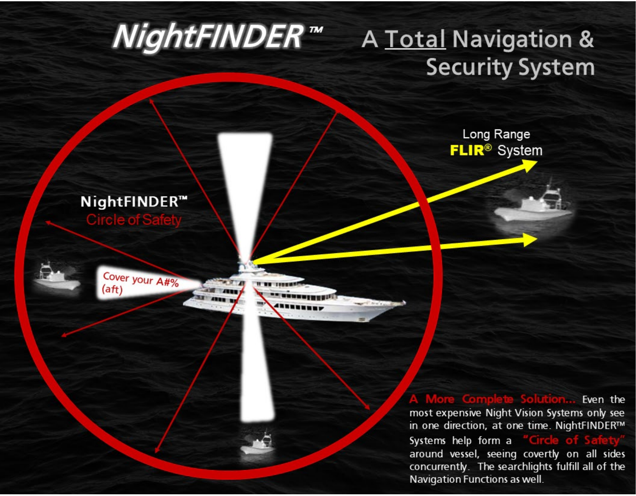# NightFINDER™ A Total Navigation & **Security System** Long Range **FLIR<sup>®</sup>** System NightFINDER™ Circle of S Cover your A#%  $($ aft $)$ Even the most expensive Night Vision Systems only see in one direction, at one time. NightFINDER™ Systems help form a

around vessel, seeing covertly on all sides concurrently. The searchlights fulfill all of the Navigation Functions as well.